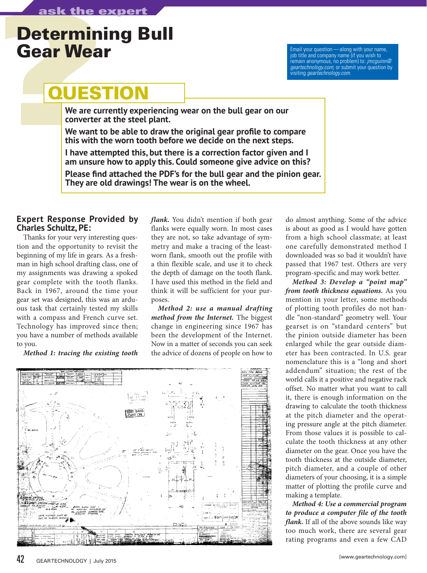## Determining Bull<br>Gear Wear Gear Wear Wear Email your question—along with your name,

remain anonymous, no problem) to: *jmcguinn@ geartechnology.com*; or submit your question by visiting *geartechnology.com*.

## **QUESTION**

**We are currently experiencing wear on the bull gear on our converter at the steel plant.**

**We want to be able to draw the original gear profile to compare this with the worn tooth before we decide on the next steps.**

**I have attempted this, but there is a correction factor given and I am unsure how to apply this. Could someone give advice on this?**

**Please find attached the PDF's for the bull gear and the pinion gear. They are old drawings! The wear is on the wheel.**

## **Expert Response Provided by Charles Schultz, PE:**

Thanks for your very interesting question and the opportunity to revisit the beginning of my life in gears. As a freshman in high school drafting class, one of my assignments was drawing a spoked gear complete with the tooth flanks. Back in 1967, around the time your gear set was designed, this was an arduous task that certainly tested my skills with a compass and French curve set. Technology has improved since then; you have a number of methods available to you.

*Method 1: tracing the existing tooth* 

*flank.* You didn't mention if both gear flanks were equally worn. In most cases they are not, so take advantage of symmetry and make a tracing of the leastworn flank, smooth out the profile with a thin flexible scale, and use it to check the depth of damage on the tooth flank. I have used this method in the field and think it will be sufficient for your purposes.

*Method 2: use a manual drafting method from the Internet.* The biggest change in engineering since 1967 has been the development of the Internet. Now in a matter of seconds you can seek the advice of dozens of people on how to



do almost anything. Some of the advice is about as good as I would have gotten from a high school classmate; at least one carefully demonstrated method I downloaded was so bad it wouldn't have passed that 1967 test. Others are very program-specific and may work better.

*Method 3: Develop a "point map" from tooth thickness equations.* As you mention in your letter, some methods of plotting tooth profiles do not handle "non-standard" geometry well. Your gearset is on "standard centers" but the pinion outside diameter has been enlarged while the gear outside diameter has been contracted. In U.S. gear nomenclature this is a "long and short addendum" situation; the rest of the world calls it a positive and negative rack offset. No matter what you want to call it, there is enough information on the drawing to calculate the tooth thickness at the pitch diameter and the operating pressure angle at the pitch diameter. From those values it is possible to calculate the tooth thickness at any other diameter on the gear. Once you have the tooth thickness at the outside diameter, pitch diameter, and a couple of other diameters of your choosing, it is a simple matter of plotting the profile curve and making a template.

*Method 4: Use a commercial program to produce a computer file of the tooth flank.* If all of the above sounds like way too much work, there are several gear rating programs and even a few CAD